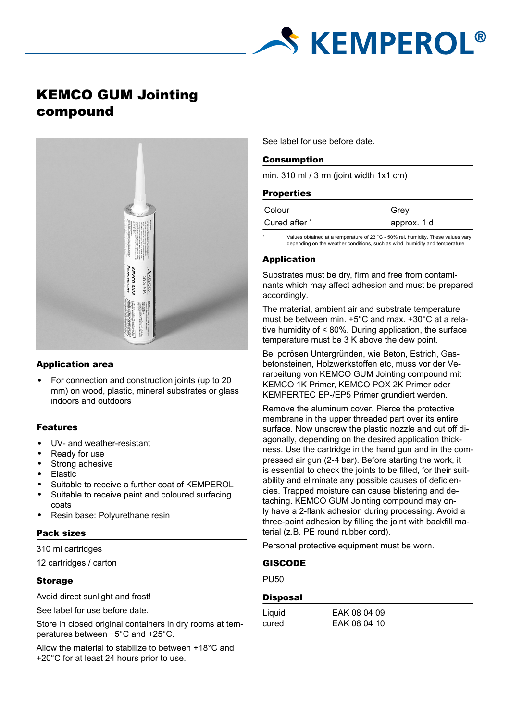

# KEMCO GUM Jointing compound



#### Application area

• For connection and construction joints (up to 20 mm) on wood, plastic, mineral substrates or glass indoors and outdoors

#### Features

- UV- and weather-resistant
- Ready for use
- Strong adhesive
- Elastic
- Suitable to receive a further coat of KEMPEROL
- Suitable to receive paint and coloured surfacing coats
- Resin base: Polyurethane resin

# Pack sizes

310 ml cartridges

12 cartridges / carton

# Storage

Avoid direct sunlight and frost!

See label for use before date.

Store in closed original containers in dry rooms at temperatures between +5°C and +25°C.

Allow the material to stabilize to between +18°C and +20°C for at least 24 hours prior to use.

See label for use before date.

#### Consumption

min. 310 ml / 3 rm (joint width 1x1 cm)

#### **Properties**

| Colour        | Grev        |
|---------------|-------------|
| Cured after * | approx. 1 d |

Values obtained at a temperature of 23 °C - 50% rel. humidity. These values vary depending on the weather conditions, such as wind, humidity and temperature.

# Application

Substrates must be dry, firm and free from contaminants which may affect adhesion and must be prepared accordingly.

The material, ambient air and substrate temperature must be between min. +5°C and max. +30°C at a relative humidity of < 80%. During application, the surface temperature must be 3 K above the dew point.

Bei porösen Untergründen, wie Beton, Estrich, Gasbetonsteinen, Holzwerkstoffen etc, muss vor der Verarbeitung von KEMCO GUM Jointing compound mit KEMCO 1K Primer, KEMCO POX 2K Primer oder KEMPERTEC EP-/EP5 Primer grundiert werden.

Remove the aluminum cover. Pierce the protective membrane in the upper threaded part over its entire surface. Now unscrew the plastic nozzle and cut off diagonally, depending on the desired application thickness. Use the cartridge in the hand gun and in the compressed air gun (2-4 bar). Before starting the work, it is essential to check the joints to be filled, for their suitability and eliminate any possible causes of deficiencies. Trapped moisture can cause blistering and detaching. KEMCO GUM Jointing compound may only have a 2-flank adhesion during processing. Avoid a three-point adhesion by filling the joint with backfill material (z.B. PE round rubber cord).

Personal protective equipment must be worn.

# GISCODE

**PU50** 

#### **Disposal**

| ∟iquid |  |
|--------|--|
| cured  |  |

EAK 08 04 09 EAK 08 04 10